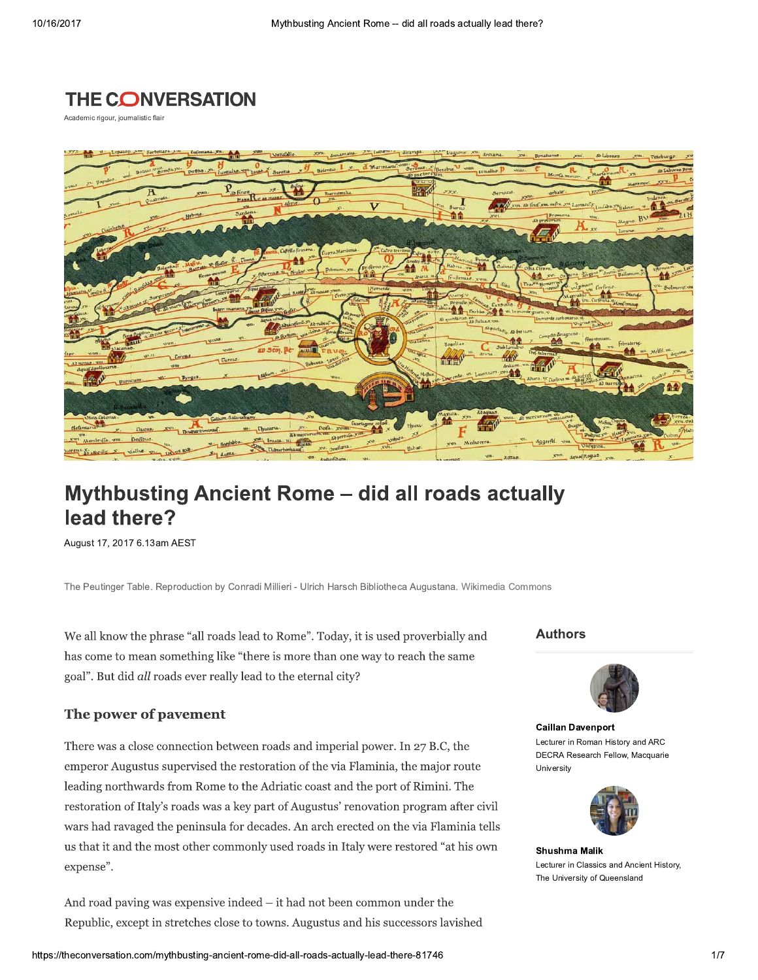

Academic rigour, journalistic flair



# **Mythbusting Ancient Rome - did all roads actually** lead there?

August 17, 2017 6.13am AEST

The Peutinger Table. Reproduction by Conradi Millieri - Ulrich Harsch Bibliotheca Augustana. Wikimedia Commons

We all know the phrase "all roads lead to Rome". Today, it is used proverbially and has come to mean something like "there is more than one way to reach the same goal". But did all roads ever really lead to the eternal city?

#### The power of pavement

There was a close connection between roads and imperial power. In 27 B.C, the emperor Augustus supervised the restoration of the via Flaminia, the major route leading northwards from Rome to the Adriatic coast and the port of Rimini. The restoration of Italy's roads was a key part of Augustus' renovation program after civil wars had ravaged the peninsula for decades. An arch erected on the via Flaminia tells us that it and the most other commonly used roads in Italy were restored "at his own expense".

And road paving was expensive indeed  $-$  it had not been common under the Republic, except in stretches close to towns. Augustus and his successors lavished **Authors** 



**Caillan Davenport** Lecturer in Roman History and ARC DECRA Research Fellow, Macquarie University



**Shushma Malik** Lecturer in Classics and Ancient History, The University of Queensland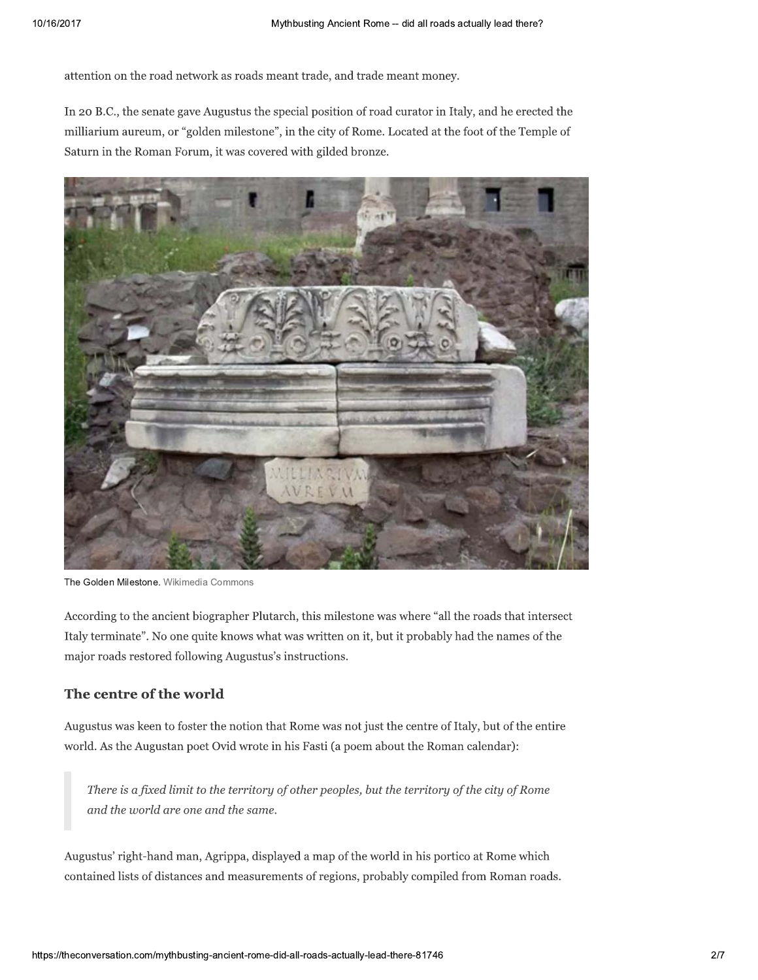attention on the road network as roads meant trade, and trade meant money.

In 20 B.C., the senate gave Augustus the special position of road curator in Italy, and he erected the milliarium aureum, or "golden milestone", in the city of Rome. Located at the foot of the Temple of Saturn in the Roman Forum, it was covered with gilded bronze.



The Golden Milestone. Wikimedia Commons

According to the ancient biographer Plutarch, this milestone was where "all the roads that intersect Italy terminate". No one quite knows what was written on it, but it probably had the names of the major roads restored following Augustus's instructions.

## The centre of the world

Augustus was keen to foster the notion that Rome was not just the centre of Italy, but of the entire world. As the Augustan poet Ovid wrote in his Fasti (a poem about the Roman calendar):

There is a fixed limit to the territory of other peoples, but the territory of the city of Rome and the world are one and the same.

Augustus' right-hand man, Agrippa, displayed a map of the world in his portico at Rome which contained lists of distances and measurements of regions, probably compiled from Roman roads.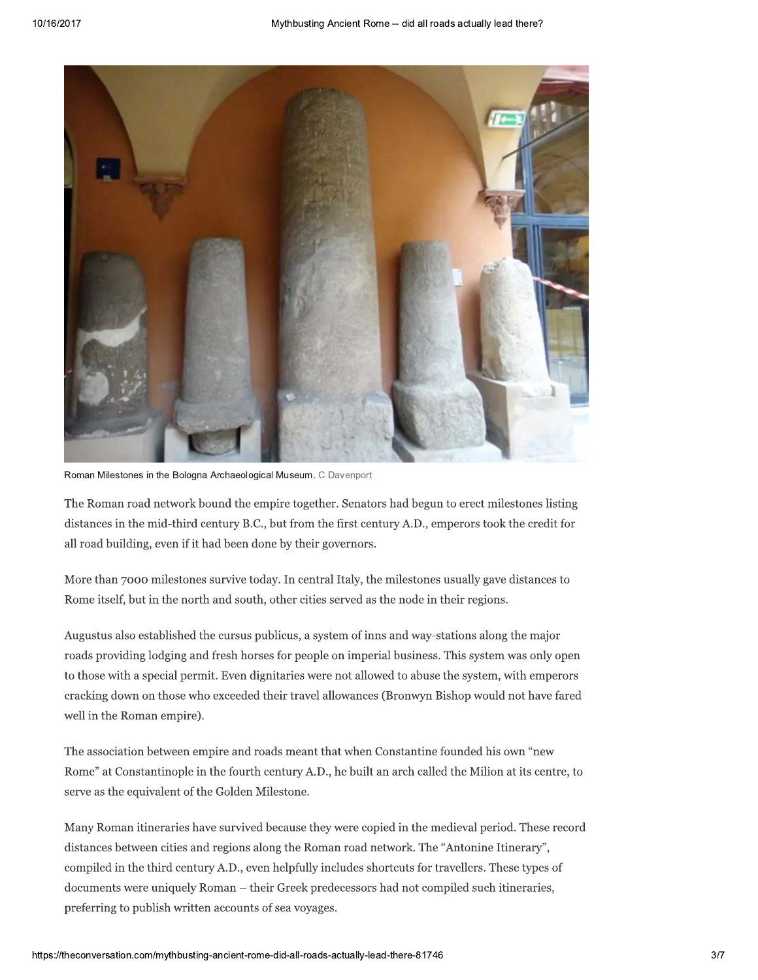

Roman Milestones in the Bologna Archaeological Museum. C Davenport

The Roman road network bound the empire together. Senators had begun to erect milestones listing distances in the mid-third century B.C., but from the first century A.D., emperors took the credit for all road building, even if it had been done by their governors.

More than 7000 milestones survive today. In central Italy, the milestones usually gave distances to Rome itself, but in the north and south, other cities served as the node in their regions.

Augustus also established the cursus publicus, a system of inns and way-stations along the major roads providing lodging and fresh horses for people on imperial business. This system was only open to those with a special permit. Even dignitaries were not allowed to abuse the system, with emperors cracking down on those who exceeded their travel allowances (Bronwyn Bishop would not have fared well in the Roman empire).

The association between empire and roads meant that when Constantine founded his own "new Rome" at Constantinople in the fourth century A.D., he built an arch called the Milion at its centre, to serve as the equivalent of the Golden Milestone.

Many Roman itineraries have survived because they were copied in the medieval period. These record distances between cities and regions along the Roman road network. The "Antonine Itinerary", compiled in the third century A.D., even helpfully includes shortcuts for travellers. These types of documents were uniquely Roman – their Greek predecessors had not compiled such itineraries, preferring to publish written accounts of sea voyages.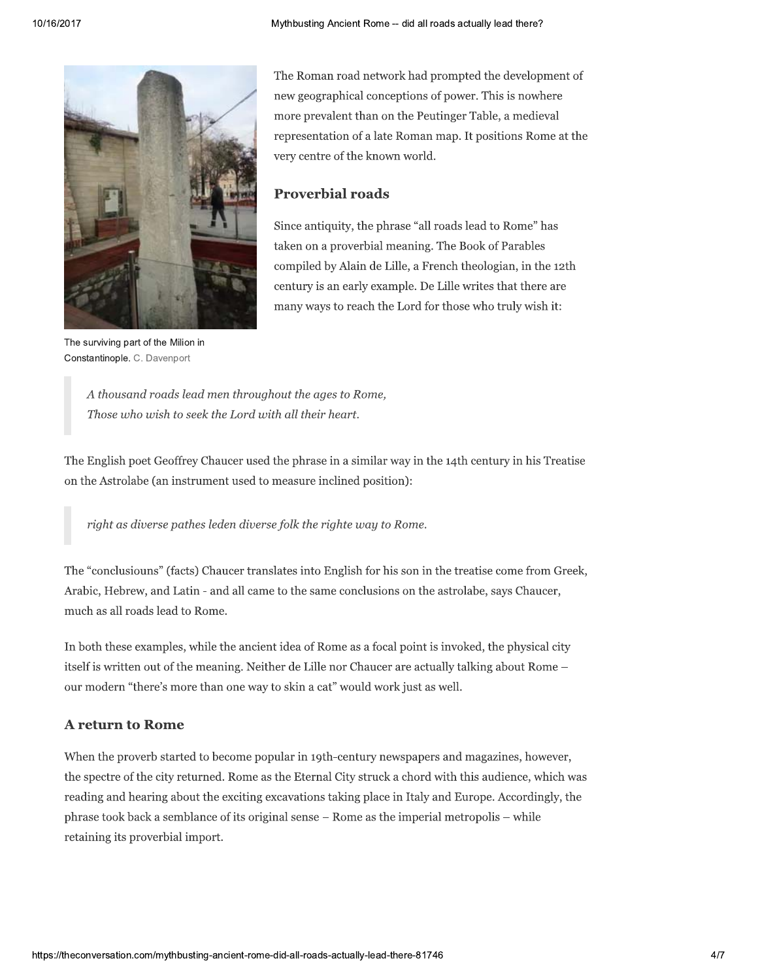

The surviving part of the Milion in Constantinople. C. Davenport

The Roman road network had prompted the development of new geographical conceptions of power. This is nowhere more prevalent than on the Peutinger Table, a medieval representation of a late Roman map. It positions Rome at the very centre of the known world.

#### **Proverbial roads**

Since antiquity, the phrase "all roads lead to Rome" has taken on a proverbial meaning. The Book of Parables compiled by Alain de Lille, a French theologian, in the 12th century is an early example. De Lille writes that there are many ways to reach the Lord for those who truly wish it:

A thousand roads lead men throughout the ages to Rome, Those who wish to seek the Lord with all their heart.

The English poet Geoffrey Chaucer used the phrase in a similar way in the 14th century in his Treatise on the Astrolabe (an instrument used to measure inclined position):

right as diverse pathes leden diverse folk the righte way to Rome.

The "conclusiouns" (facts) Chaucer translates into English for his son in the treatise come from Greek, Arabic, Hebrew, and Latin - and all came to the same conclusions on the astrolabe, says Chaucer, much as all roads lead to Rome.

In both these examples, while the ancient idea of Rome as a focal point is invoked, the physical city itself is written out of the meaning. Neither de Lille nor Chaucer are actually talking about Rome – our modern "there's more than one way to skin a cat" would work just as well.

## **A return to Rome**

When the proverb started to become popular in 19th-century newspapers and magazines, however, the spectre of the city returned. Rome as the Eternal City struck a chord with this audience, which was reading and hearing about the exciting excavations taking place in Italy and Europe. Accordingly, the phrase took back a semblance of its original sense - Rome as the imperial metropolis - while retaining its proverbial import.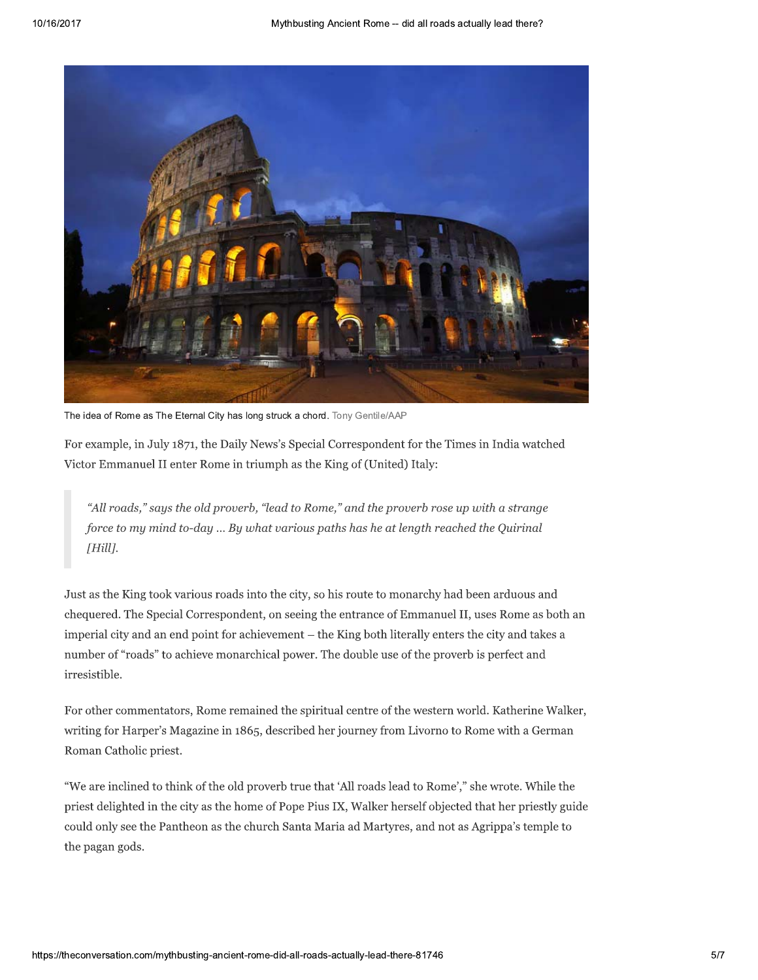

The idea of Rome as The Eternal City has long struck a chord. Tony Gentile/AAP

"All roads," says the old proverb, "lead to Rome," and the proverb rose up with a strange force to my mind to-day ... By what various paths has he at length reached the Quirinal  $[Hill]$ .

*"All roads," says the old proverb, "lead to Rome," and the proverb rose up with a strange force to my mind to-day ... By what various paths has he at length reached the Quirinal [Hill].*<br>Just as the King took various roa "All roads," says the old proverb, "lead to Rome," and the proverb rose up with a strange<br>force to my mind to-day ... By what various paths has he at length reached the Quirinal<br>[Hill].<br>Just as the King took various roads force to my mind to-day ... By what various paths has he at length reached the Quirinal [Hill].<br>
Iust as the King took various roads into the city, so his route to monarchy had been arduous and<br>
chequered. The Special Cor [Hill].<br>
Just as the King took various roads into the city, so his route to monarchy had been arduous and<br>
chequered. The Special Correspondent, on seeing the entrance of Emmanuel II, uses Rome as both an<br>
imperial city an Just as the King took varian<br>
chequered. The Special C<br>
imperial city and an end<br>
number of "roads" to ach<br>
irresistible.<br>
For other commentators<br>
writing for Harper's Mag<br>
Roman Catholic priest.<br>
"We are inclined to thinl deequered. The Special Correspondent, on seeing the entrance of Emmanuel II, uses Rome as both an imperial city and an end point for achievement – the King both literally enters the city and takes a number of "roads" to ac

imperial city and an end point for achievement – the King both literally enters the city and takes a<br>number of "roads" to achieve monarchical power. The double use of the proverb is perfect and<br>irresistible.<br>For other comm Example 1.1 The Fermi calculation<br>number of "roads" to achieve monarchica<br>irresistible.<br>For other commentators, Rome remaine<br>writing for Harper's Magazine in 1865, d<br>Roman Catholic priest.<br>"We are inclined to think of the rresistione.<br>
For other commentators, Rome remained the spiritual centre of the western world. Katherine Walker,<br>
writing for Harper's Magazine in 1865, described her journey from Livorno to Rome with a German<br>
Roman Catho For other commentators, Rome remained the spiritual centre of the western world. Katherine Walker, writing for Harper's Magazine in 1865, described her journey from Livorno to Rome with a German Roman Catholic priest.<br>"We 22 The United States in 1865, described her journey from Livorno to Rome with a German Roman Catholic priest.<br>
"We are inclined to think of the old proverb true that 'All roads lead to Rome'," she wrote. While the priest d the pagan gods.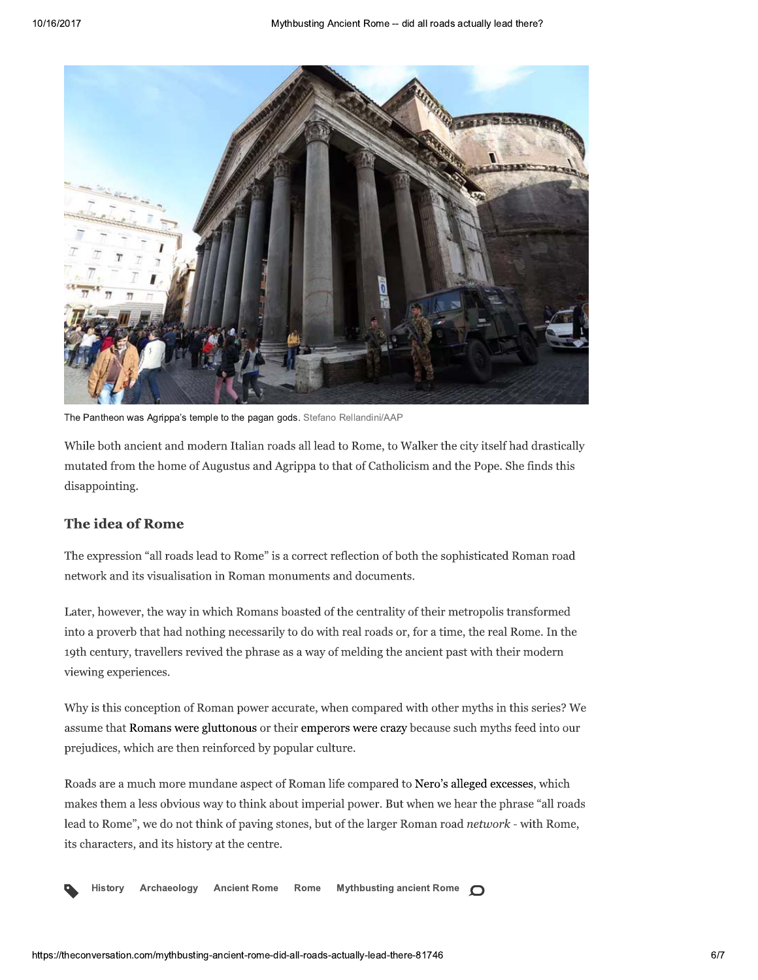

The Pantheon was Agrippa's temple to the pagan gods. Stefano Rellandini/AAP

While both ancient and modern Italian roads all lead to Rome, to Walker the city itself had drastically mutated from the home of Augustus and Agrippa to that of Catholicism and the Pope. She finds this disappointing.

### The idea of Rome

The expression "all roads lead to Rome" is a correct reflection of both the sophisticated Roman road network and its visualisation in Roman monuments and documents.

Later, however, the way in which Romans boasted of the centrality of their metropolis transformed into a proverb that had nothing necessarily to do with real roads or, for a time, the real Rome. In the 19th century, travellers revived the phrase as a way of melding the ancient past with their modern viewing experiences.

Why is this conception of Roman power accurate, when compared with other myths in this series? We assume that Romans were gluttonous or their emperors were crazy because such myths feed into our prejudices, which are then reinforced by popular culture.

Roads are a much more mundane aspect of Roman life compared to Nero's alleged excesses, which makes them a less obvious way to think about imperial power. But when we hear the phrase "all roads lead to Rome", we do not think of paving stones, but of the larger Roman road network - with Rome, its characters, and its history at the centre.

Archaeology **Ancient Rome** Rome **Mythbusting ancient Rome** History  $\bigcap$